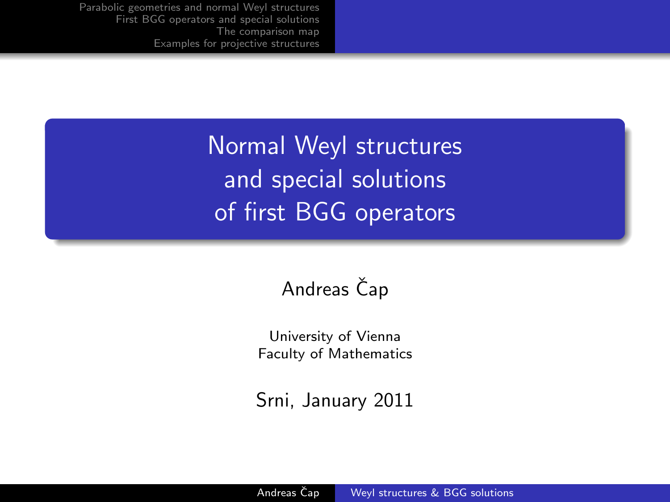> Normal Weyl structures and special solutions of first BGG operators

### Andreas Čap

University of Vienna Faculty of Mathematics

<span id="page-0-0"></span>Srni, January 2011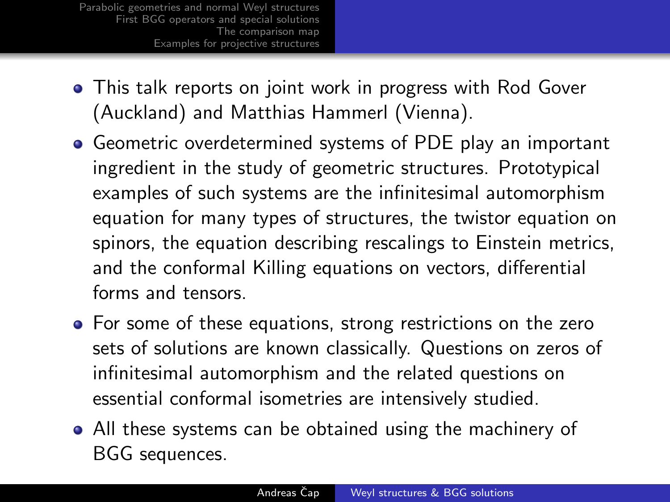- This talk reports on joint work in progress with Rod Gover (Auckland) and Matthias Hammerl (Vienna).
- Geometric overdetermined systems of PDE play an important ingredient in the study of geometric structures. Prototypical examples of such systems are the infinitesimal automorphism equation for many types of structures, the twistor equation on spinors, the equation describing rescalings to Einstein metrics, and the conformal Killing equations on vectors, differential forms and tensors.
- For some of these equations, strong restrictions on the zero sets of solutions are known classically. Questions on zeros of infinitesimal automorphism and the related questions on essential conformal isometries are intensively studied.
- All these systems can be obtained using the machinery of BGG sequences.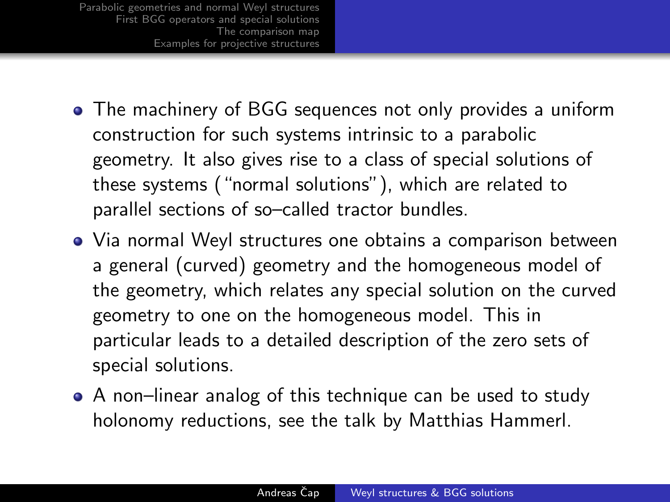- The machinery of BGG sequences not only provides a uniform construction for such systems intrinsic to a parabolic geometry. It also gives rise to a class of special solutions of these systems ("normal solutions"), which are related to parallel sections of so–called tractor bundles.
- Via normal Weyl structures one obtains a comparison between a general (curved) geometry and the homogeneous model of the geometry, which relates any special solution on the curved geometry to one on the homogeneous model. This in particular leads to a detailed description of the zero sets of special solutions.
- A non–linear analog of this technique can be used to study holonomy reductions, see the talk by Matthias Hammerl.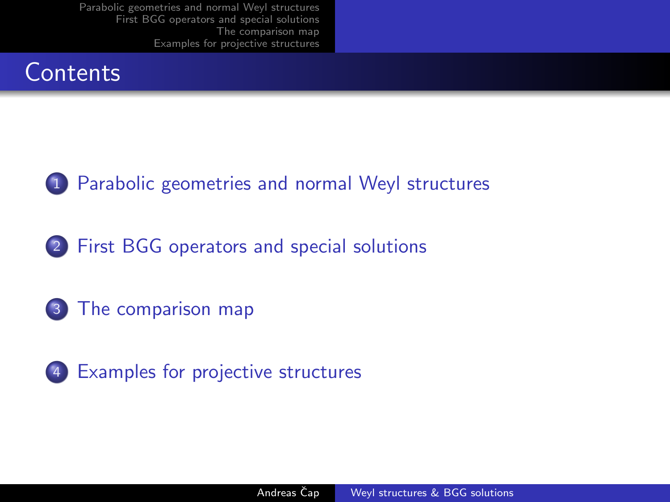



2 [First BGG operators and special solutions](#page-8-0)

3 [The comparison map](#page-13-0)

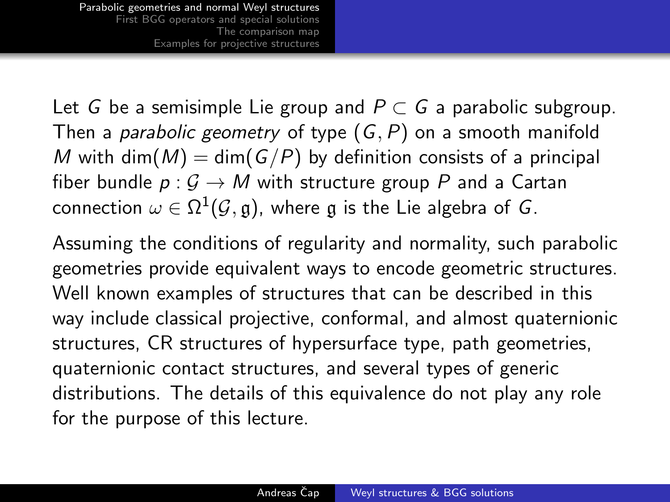Let G be a semisimple Lie group and  $P \subset G$  a parabolic subgroup. Then a *parabolic geometry* of type  $(G, P)$  on a smooth manifold M with dim(M) = dim(G/P) by definition consists of a principal fiber bundle  $p: \mathcal{G} \to M$  with structure group P and a Cartan connection  $\omega \in \Omega^1(\mathcal{G},\mathfrak{g})$ , where  $\mathfrak g$  is the Lie algebra of  $G.$ 

<span id="page-4-0"></span>Assuming the conditions of regularity and normality, such parabolic geometries provide equivalent ways to encode geometric structures. Well known examples of structures that can be described in this way include classical projective, conformal, and almost quaternionic structures, CR structures of hypersurface type, path geometries, quaternionic contact structures, and several types of generic distributions. The details of this equivalence do not play any role for the purpose of this lecture.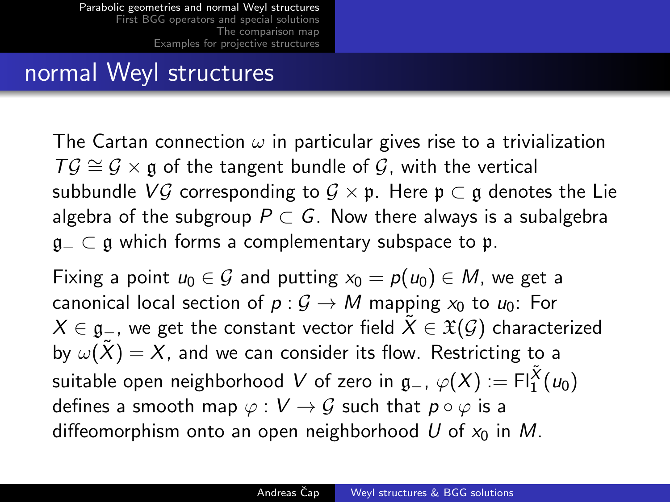### normal Weyl structures

The Cartan connection  $\omega$  in particular gives rise to a trivialization  $T\mathcal{G} \cong \mathcal{G} \times \mathfrak{g}$  of the tangent bundle of  $\mathcal{G}$ , with the vertical subbundle VG corresponding to  $G \times \mathfrak{p}$ . Here  $\mathfrak{p} \subset \mathfrak{g}$  denotes the Lie algebra of the subgroup  $P \subset G$ . Now there always is a subalgebra  $a_$  ⊂ a which forms a complementary subspace to p.

Fixing a point  $u_0 \in \mathcal{G}$  and putting  $x_0 = p(u_0) \in M$ , we get a canonical local section of  $p: G \to M$  mapping  $x_0$  to  $u_0$ : For  $X \in \mathfrak{g}_-$ , we get the constant vector field  $\tilde{X} \in \mathfrak{X}(\mathcal{G})$  characterized by  $\omega(\tilde{X}) = X$ , and we can consider its flow. Restricting to a suitable open neighborhood  $V$  of zero in  $\mathfrak{g}_-$ ,  $\varphi(X) := \mathsf{Fl}^{\tilde{X}}_1(\mathsf{u}_0)$ defines a smooth map  $\varphi : V \to G$  such that  $p \circ \varphi$  is a diffeomorphism onto an open neighborhood U of  $x_0$  in M.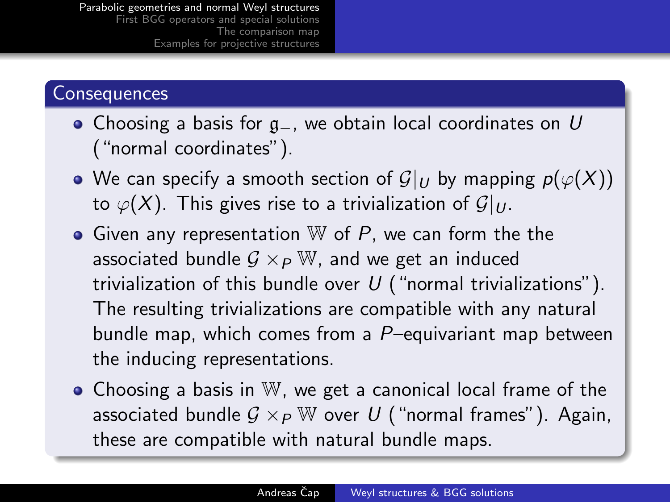#### **Consequences**

- Choosing a basis for g\_, we obtain local coordinates on U ("normal coordinates").
- We can specify a smooth section of  $\mathcal{G}|_U$  by mapping  $p(\varphi(X))$ to  $\varphi(X)$ . This gives rise to a trivialization of  $\mathcal{G}|_U$ .
- Given any representation  $W$  of  $P$ , we can form the the associated bundle  $G \times_{P} \mathbb{W}$ , and we get an induced trivialization of this bundle over  $U$  ("normal trivializations"). The resulting trivializations are compatible with any natural bundle map, which comes from a P–equivariant map between the inducing representations.
- Choosing a basis in W, we get a canonical local frame of the associated bundle  $G \times_{P} \mathbb{W}$  over U ("normal frames"). Again, these are compatible with natural bundle maps.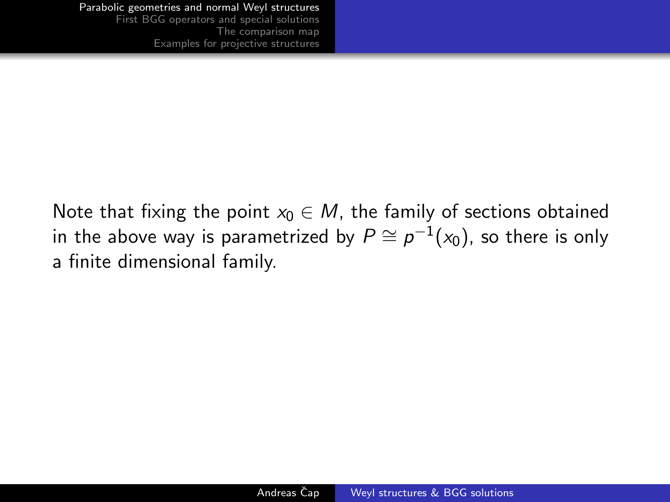Note that fixing the point  $x_0 \in M$ , the family of sections obtained in the above way is parametrized by  $P\cong \rho^{-1}(\mathsf{x}_0)$ , so there is only a finite dimensional family.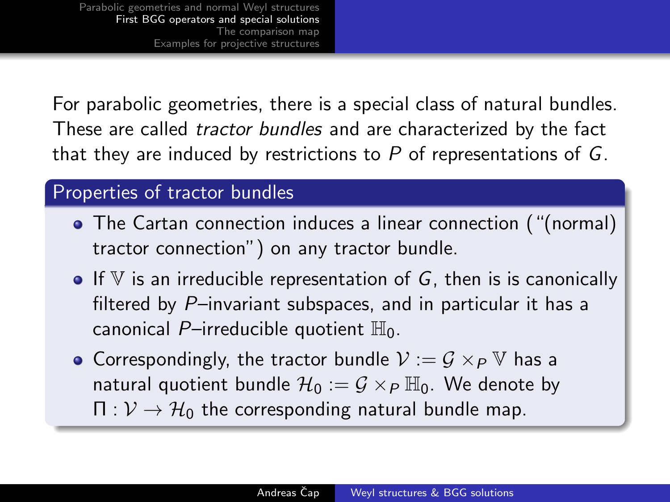For parabolic geometries, there is a special class of natural bundles. These are called tractor bundles and are characterized by the fact that they are induced by restrictions to  $P$  of representations of  $G$ .

#### Properties of tractor bundles

- The Cartan connection induces a linear connection ("(normal) tractor connection") on any tractor bundle.
- $\bullet$  If V is an irreducible representation of G, then is is canonically filtered by P–invariant subspaces, and in particular it has a canonical P-irreducible quotient  $\mathbb{H}_0$ .
- <span id="page-8-0"></span>• Correspondingly, the tractor bundle  $V := G \times_{P} V$  has a natural quotient bundle  $\mathcal{H}_0 := \mathcal{G} \times_{\mathcal{P}} \mathbb{H}_0$ . We denote by  $\Pi: \mathcal{V} \to \mathcal{H}_0$  the corresponding natural bundle map.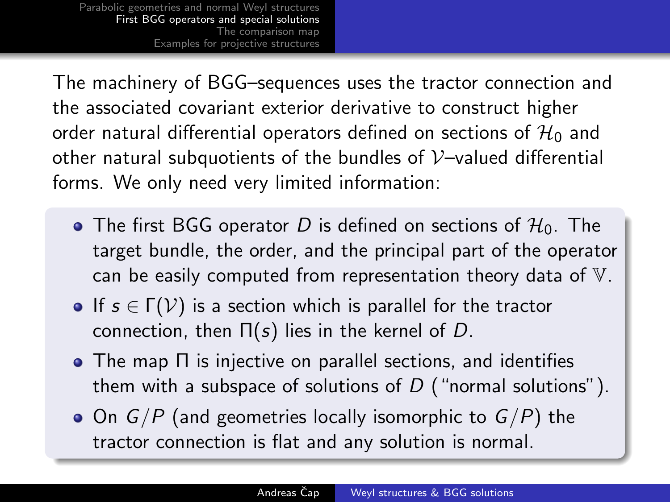The machinery of BGG–sequences uses the tractor connection and the associated covariant exterior derivative to construct higher order natural differential operators defined on sections of  $\mathcal{H}_0$  and other natural subquotients of the bundles of  $V$ -valued differential forms. We only need very limited information:

- The first BGG operator D is defined on sections of  $H_0$ . The target bundle, the order, and the principal part of the operator can be easily computed from representation theory data of V.
- If  $s \in \Gamma(\mathcal{V})$  is a section which is parallel for the tractor connection, then  $\Pi(s)$  lies in the kernel of D.
- The map Π is injective on parallel sections, and identifies them with a subspace of solutions of  $D$  ("normal solutions").
- $\bullet$  On  $G/P$  (and geometries locally isomorphic to  $G/P$ ) the tractor connection is flat and any solution is normal.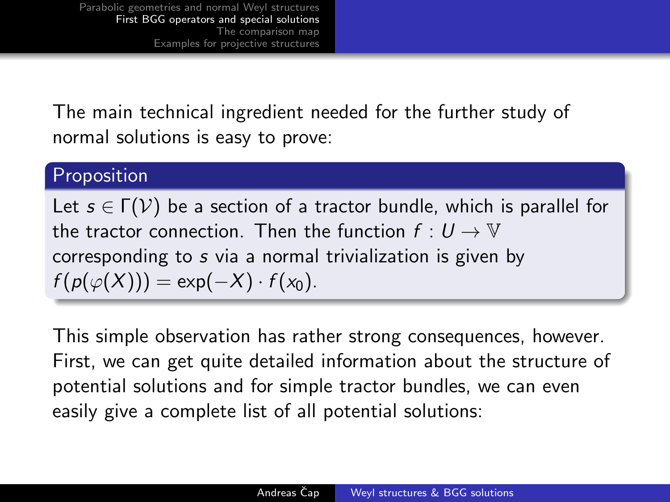The main technical ingredient needed for the further study of normal solutions is easy to prove:

#### Proposition

Let  $s \in \Gamma(\mathcal{V})$  be a section of a tractor bundle, which is parallel for the tractor connection. Then the function  $f: U \to V$ corresponding to s via a normal trivialization is given by  $f(p(\varphi(X))) = \exp(-X) \cdot f(x_0).$ 

This simple observation has rather strong consequences, however. First, we can get quite detailed information about the structure of potential solutions and for simple tractor bundles, we can even easily give a complete list of all potential solutions: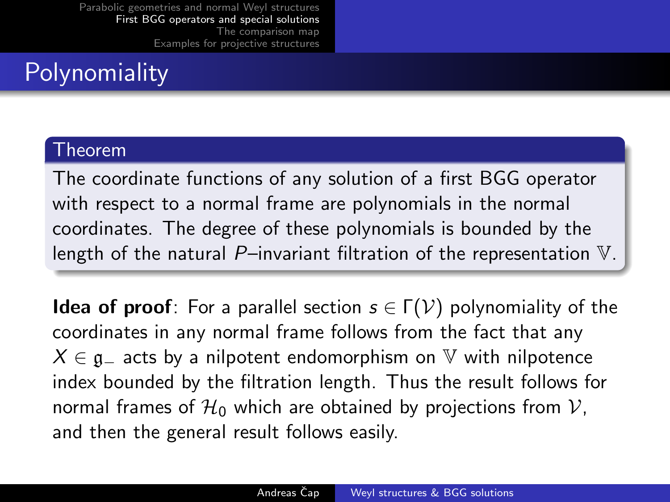# **Polynomiality**

#### Theorem

The coordinate functions of any solution of a first BGG operator with respect to a normal frame are polynomials in the normal coordinates. The degree of these polynomials is bounded by the length of the natural  $P$ –invariant filtration of the representation  $V$ .

**Idea of proof**: For a parallel section  $s \in \Gamma(\mathcal{V})$  polynomiality of the coordinates in any normal frame follows from the fact that any  $X \in \mathfrak{g}_-$  acts by a nilpotent endomorphism on  $\mathbb {V}$  with nilpotence index bounded by the filtration length. Thus the result follows for normal frames of  $\mathcal{H}_0$  which are obtained by projections from  $\mathcal{V}$ , and then the general result follows easily.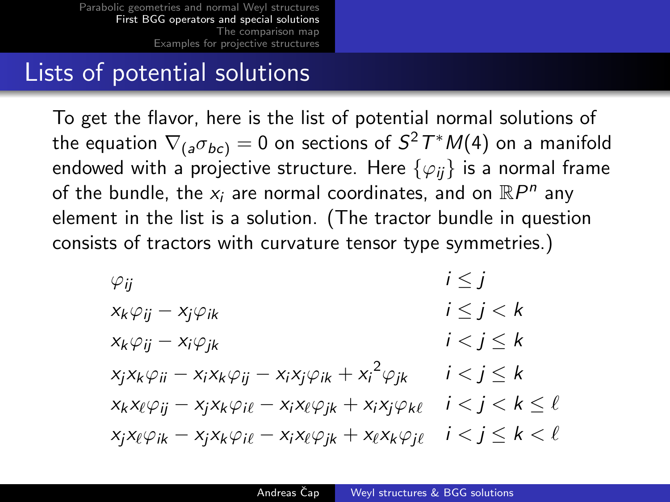## Lists of potential solutions

To get the flavor, here is the list of potential normal solutions of the equation  $\nabla_{(a}\sigma_{bc)}=0$  on sections of  $S^2\,T^*M(4)$  on a manifold endowed with a projective structure. Here  $\{\varphi_{ii}\}\$ is a normal frame of the bundle, the  $x_i$  are normal coordinates, and on  $\mathbb{R}P^n$  any element in the list is a solution. (The tractor bundle in question consists of tractors with curvature tensor type symmetries.)

$$
\varphi_{ij} \qquad i \leq j
$$
\n
$$
x_k \varphi_{ij} - x_j \varphi_{ik} \qquad i \leq j < k
$$
\n
$$
x_k \varphi_{ij} - x_i \varphi_{jk} \qquad i < j \leq k
$$
\n
$$
x_j x_k \varphi_{ii} - x_i x_k \varphi_{ij} - x_i x_j \varphi_{ik} + x_i^2 \varphi_{jk} \qquad i < j \leq k
$$
\n
$$
x_k x_\ell \varphi_{ij} - x_j x_k \varphi_{il} - x_i x_\ell \varphi_{jk} + x_i x_j \varphi_{k \ell} \qquad i < j < k \leq \ell
$$
\n
$$
x_j x_\ell \varphi_{ik} - x_j x_k \varphi_{il} - x_i x_\ell \varphi_{jk} + x_\ell x_k \varphi_{jl} \qquad i < j \leq k < \ell
$$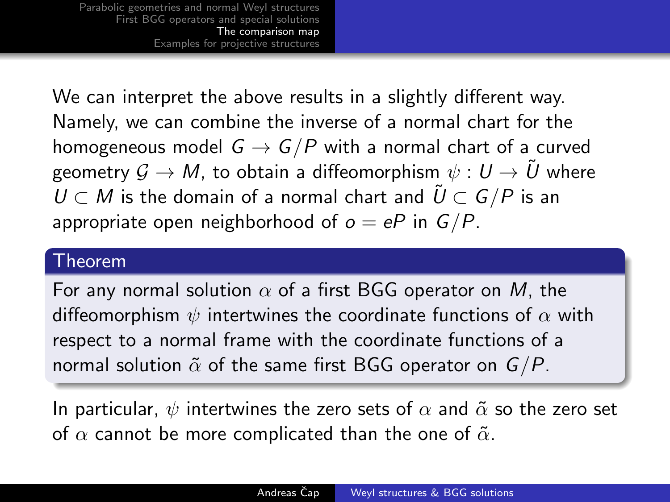We can interpret the above results in a slightly different way. Namely, we can combine the inverse of a normal chart for the homogeneous model  $G \rightarrow G/P$  with a normal chart of a curved geometry  $\mathcal{G} \to M$ , to obtain a diffeomorphism  $\psi : U \to \tilde{U}$  where  $U \subset M$  is the domain of a normal chart and  $\tilde{U} \subset G/P$  is an appropriate open neighborhood of  $o = eP$  in  $G/P$ .

#### Theorem

For any normal solution  $\alpha$  of a first BGG operator on M, the diffeomorphism  $\psi$  intertwines the coordinate functions of  $\alpha$  with respect to a normal frame with the coordinate functions of a normal solution  $\tilde{\alpha}$  of the same first BGG operator on  $G/P$ .

<span id="page-13-0"></span>In particular,  $\psi$  intertwines the zero sets of  $\alpha$  and  $\tilde{\alpha}$  so the zero set of  $\alpha$  cannot be more complicated than the one of  $\tilde{\alpha}$ .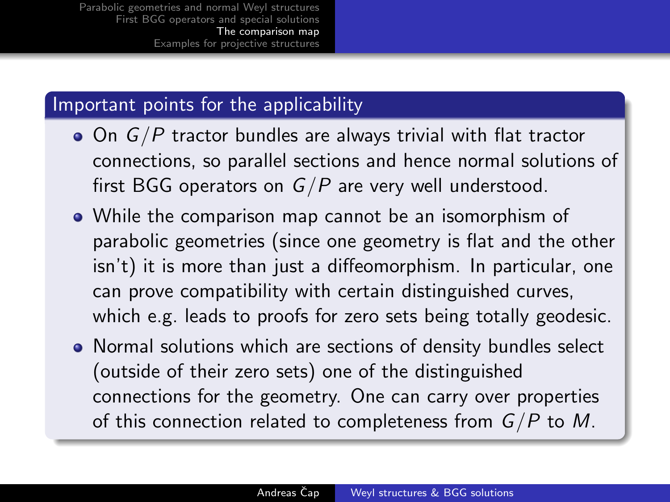#### Important points for the applicability

- $\bullet$  On  $G/P$  tractor bundles are always trivial with flat tractor connections, so parallel sections and hence normal solutions of first BGG operators on  $G/P$  are very well understood.
- While the comparison map cannot be an isomorphism of parabolic geometries (since one geometry is flat and the other isn't) it is more than just a diffeomorphism. In particular, one can prove compatibility with certain distinguished curves, which e.g. leads to proofs for zero sets being totally geodesic.
- Normal solutions which are sections of density bundles select (outside of their zero sets) one of the distinguished connections for the geometry. One can carry over properties of this connection related to completeness from  $G/P$  to M.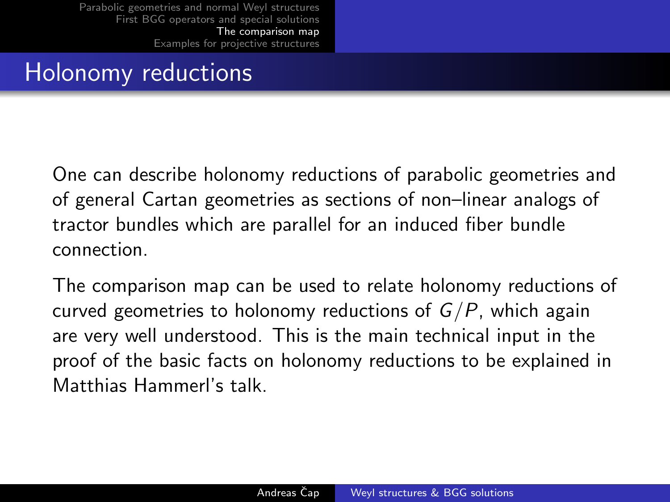# Holonomy reductions

One can describe holonomy reductions of parabolic geometries and of general Cartan geometries as sections of non–linear analogs of tractor bundles which are parallel for an induced fiber bundle connection.

The comparison map can be used to relate holonomy reductions of curved geometries to holonomy reductions of  $G/P$ , which again are very well understood. This is the main technical input in the proof of the basic facts on holonomy reductions to be explained in Matthias Hammerl's talk.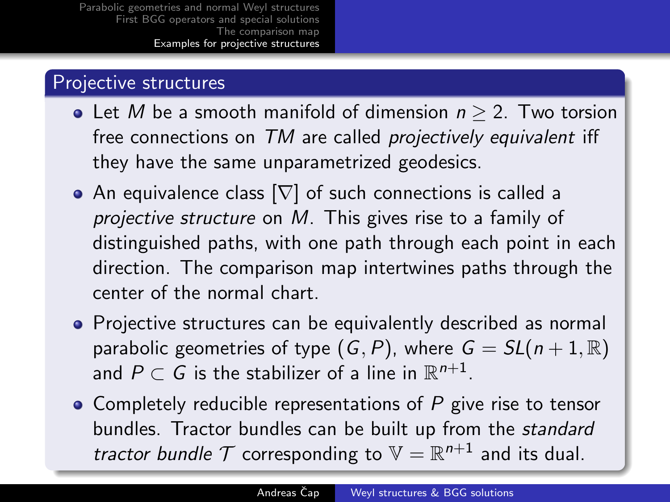### Projective structures

- Let M be a smooth manifold of dimension  $n > 2$ . Two torsion free connections on TM are called *projectively equivalent* iff they have the same unparametrized geodesics.
- An equivalence class  $[\nabla]$  of such connections is called a projective structure on M. This gives rise to a family of distinguished paths, with one path through each point in each direction. The comparison map intertwines paths through the center of the normal chart.
- Proiective structures can be equivalently described as normal parabolic geometries of type  $(G, P)$ , where  $G = SL(n + 1, \mathbb{R})$ and  $P\subset G$  is the stabilizer of a line in  $\mathbb{R}^{n+1}.$
- <span id="page-16-0"></span>• Completely reducible representations of  $P$  give rise to tensor bundles. Tractor bundles can be built up from the standard tractor bundle  $T$  corresponding to  $\mathbb{V} = \mathbb{R}^{n+1}$  and its dual.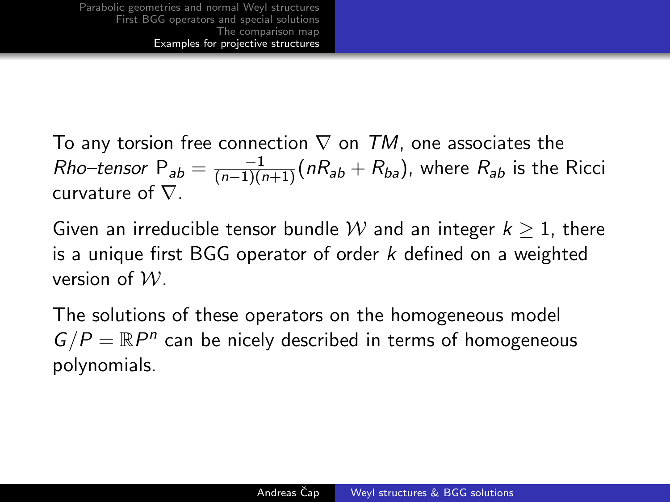To any torsion free connection  $\nabla$  on TM, one associates the *Rho–tensor*  $P_{ab} = \frac{-1}{(n-1)(n+1)} (nR_{ab} + R_{ba})$ , where  $R_{ab}$  is the Ricci curvature of  $\nabla$ .

Given an irreducible tensor bundle W and an integer  $k \geq 1$ , there is a unique first BGG operator of order  $k$  defined on a weighted version of  $W$ 

The solutions of these operators on the homogeneous model  $G/P = \mathbb{R}P^n$  can be nicely described in terms of homogeneous polynomials.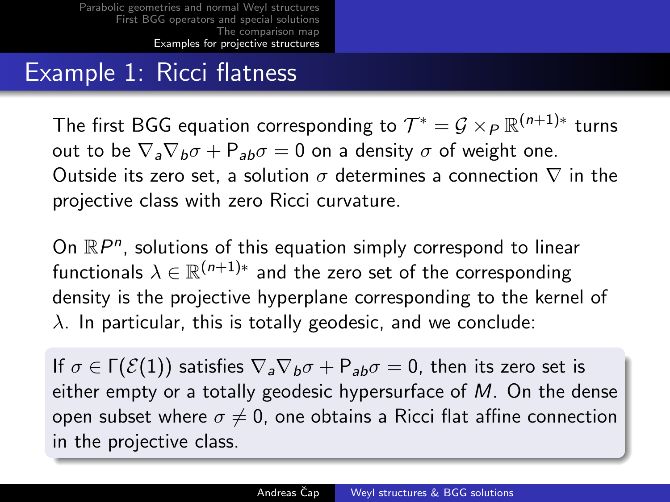# Example 1: Ricci flatness

The first BGG equation corresponding to  $\mathcal{T}^{*} = \mathcal{G} \times_{P} \mathbb{R}^{(n+1)*}$  turns out to be  $\nabla_{a}\nabla_{b}\sigma + P_{ab}\sigma = 0$  on a density  $\sigma$  of weight one. Outside its zero set, a solution  $\sigma$  determines a connection  $\nabla$  in the projective class with zero Ricci curvature.

On  $\mathbb{R}P^n$ , solutions of this equation simply correspond to linear functionals  $\lambda \in \mathbb{R}^{(n+1)*}$  and the zero set of the corresponding density is the projective hyperplane corresponding to the kernel of  $\lambda$ . In particular, this is totally geodesic, and we conclude:

If  $\sigma \in \Gamma(\mathcal{E}(1))$  satisfies  $\nabla_a \nabla_b \sigma + P_{ab} \sigma = 0$ , then its zero set is either empty or a totally geodesic hypersurface of  $M$ . On the dense open subset where  $\sigma \neq 0$ , one obtains a Ricci flat affine connection in the projective class.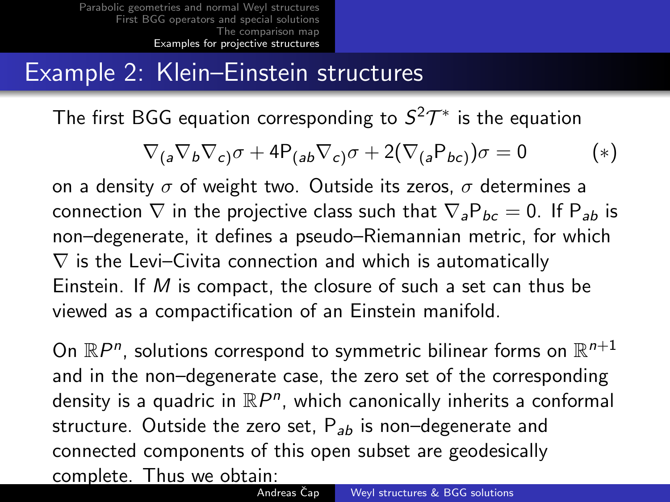## Example 2: Klein–Einstein structures

The first BGG equation corresponding to  $S^2\mathcal{T}^*$  is the equation

$$
\nabla_{(a}\nabla_b\nabla_{c)}\sigma + 4P_{(ab}\nabla_{c)}\sigma + 2(\nabla_{(a}P_{bc)})\sigma = 0
$$
 (\*)

on a density  $\sigma$  of weight two. Outside its zeros,  $\sigma$  determines a connection  $\nabla$  in the projective class such that  $\nabla_{a}P_{bc}=0$ . If  $P_{ab}$  is non–degenerate, it defines a pseudo–Riemannian metric, for which  $\nabla$  is the Levi–Civita connection and which is automatically Einstein. If M is compact, the closure of such a set can thus be viewed as a compactification of an Einstein manifold.

On  $\mathbb{R}P^n$ , solutions correspond to symmetric bilinear forms on  $\mathbb{R}^{n+1}$ and in the non–degenerate case, the zero set of the corresponding density is a quadric in  $\mathbb{R}P^n$ , which canonically inherits a conformal structure. Outside the zero set,  $P_{ab}$  is non–degenerate and connected components of this open subset are geodesically complete. Thus we obtain: